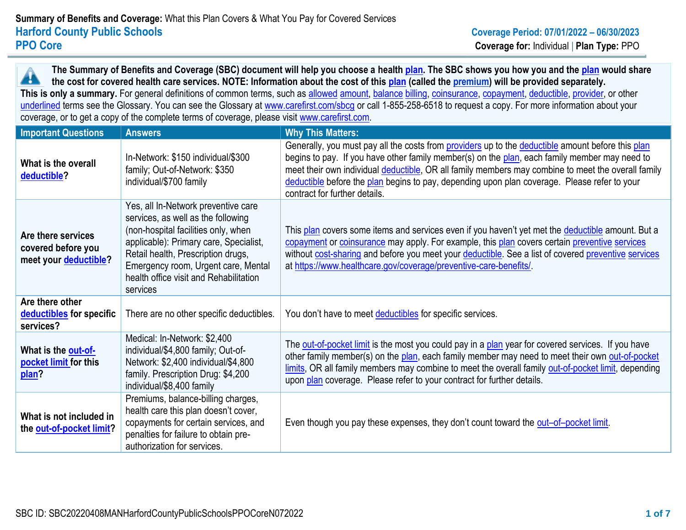**The Summary of Benefits and Coverage (SBC) document will help you choose a health plan. The SBC shows you how you and the plan would share**  44 **the cost for covered health care services. NOTE: Information about the cost of this plan (called the premium) will be provided separately.** This is only a summary. For general definitions of common terms, such as allowed amount, balance billing, coinsurance, copayment, deductible, provider, or other underlined terms see the Glossary. You can see the Glossary at [www.carefirst.com/sbcg](https://www.healthcare.gov/sbc-glossary/) or call 1-855-258-6518 to request a copy. For more information about your coverage, or to get a copy of the complete terms of coverage, please visit [www.carefirst.com.](http://www.carefirst.com/)

| <b>Important Questions</b>                                        | <b>Answers</b>                                                                                                                                                                                                                                                                                | <b>Why This Matters:</b>                                                                                                                                                                                                                                                                                                                                                                                                                  |
|-------------------------------------------------------------------|-----------------------------------------------------------------------------------------------------------------------------------------------------------------------------------------------------------------------------------------------------------------------------------------------|-------------------------------------------------------------------------------------------------------------------------------------------------------------------------------------------------------------------------------------------------------------------------------------------------------------------------------------------------------------------------------------------------------------------------------------------|
| What is the overall<br>deductible?                                | In-Network: \$150 individual/\$300<br>family; Out-of-Network: \$350<br>individual/\$700 family                                                                                                                                                                                                | Generally, you must pay all the costs from providers up to the deductible amount before this plan<br>begins to pay. If you have other family member(s) on the plan, each family member may need to<br>meet their own individual deductible, OR all family members may combine to meet the overall family<br>deductible before the plan begins to pay, depending upon plan coverage. Please refer to your<br>contract for further details. |
| Are there services<br>covered before you<br>meet your deductible? | Yes, all In-Network preventive care<br>services, as well as the following<br>(non-hospital facilities only, when<br>applicable): Primary care, Specialist,<br>Retail health, Prescription drugs,<br>Emergency room, Urgent care, Mental<br>health office visit and Rehabilitation<br>services | This plan covers some items and services even if you haven't yet met the deductible amount. But a<br>copayment or coinsurance may apply. For example, this plan covers certain preventive services<br>without cost-sharing and before you meet your deductible. See a list of covered preventive services<br>at https://www.healthcare.gov/coverage/preventive-care-benefits/                                                             |
| Are there other<br>deductibles for specific<br>services?          | There are no other specific deductibles.                                                                                                                                                                                                                                                      | You don't have to meet deductibles for specific services.                                                                                                                                                                                                                                                                                                                                                                                 |
| What is the out-of-<br>pocket limit for this<br>plan?             | Medical: In-Network: \$2,400<br>individual/\$4,800 family; Out-of-<br>Network: \$2,400 individual/\$4,800<br>family. Prescription Drug: \$4,200<br>individual/\$8,400 family                                                                                                                  | The out-of-pocket limit is the most you could pay in a plan year for covered services. If you have<br>other family member(s) on the plan, each family member may need to meet their own out-of-pocket<br>limits, OR all family members may combine to meet the overall family out-of-pocket limit, depending<br>upon plan coverage. Please refer to your contract for further details.                                                    |
| What is not included in<br>the out-of-pocket limit?               | Premiums, balance-billing charges,<br>health care this plan doesn't cover,<br>copayments for certain services, and<br>penalties for failure to obtain pre-<br>authorization for services.                                                                                                     | Even though you pay these expenses, they don't count toward the out-of-pocket limit.                                                                                                                                                                                                                                                                                                                                                      |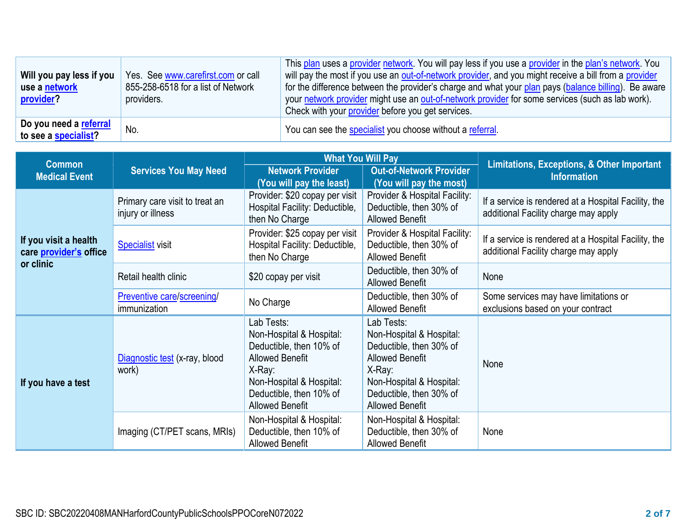| Will you pay less if you<br>use a network<br>provider? | Yes. See www.carefirst.com or call<br>855-258-6518 for a list of Network<br>providers. | This plan uses a provider network. You will pay less if you use a provider in the plan's network. You<br>will pay the most if you use an out-of-network provider, and you might receive a bill from a provider<br>for the difference between the provider's charge and what your plan pays (balance billing). Be aware<br>your network provider might use an out-of-network provider for some services (such as lab work).<br>Check with your provider before you get services. |
|--------------------------------------------------------|----------------------------------------------------------------------------------------|---------------------------------------------------------------------------------------------------------------------------------------------------------------------------------------------------------------------------------------------------------------------------------------------------------------------------------------------------------------------------------------------------------------------------------------------------------------------------------|
| Do you need a referral<br>to see a specialist?         | No.                                                                                    | You can see the specialist you choose without a referral.                                                                                                                                                                                                                                                                                                                                                                                                                       |

| <b>Common</b>                                   |                                                     | <b>What You Will Pay</b><br><b>Network Provider</b><br><b>Out-of-Network Provider</b><br>(You will pay the least)<br>(You will pay the most)                                             |                                                                                                                                                                                        | <b>Limitations, Exceptions, &amp; Other Important</b><br><b>Information</b>                  |  |
|-------------------------------------------------|-----------------------------------------------------|------------------------------------------------------------------------------------------------------------------------------------------------------------------------------------------|----------------------------------------------------------------------------------------------------------------------------------------------------------------------------------------|----------------------------------------------------------------------------------------------|--|
| <b>Medical Event</b>                            | <b>Services You May Need</b>                        |                                                                                                                                                                                          |                                                                                                                                                                                        |                                                                                              |  |
|                                                 | Primary care visit to treat an<br>injury or illness | Provider: \$20 copay per visit<br>Hospital Facility: Deductible,<br>then No Charge                                                                                                       | Provider & Hospital Facility:<br>Deductible, then 30% of<br><b>Allowed Benefit</b>                                                                                                     | If a service is rendered at a Hospital Facility, the<br>additional Facility charge may apply |  |
| If you visit a health<br>care provider's office | <b>Specialist visit</b>                             | Provider: \$25 copay per visit<br>Hospital Facility: Deductible,<br>then No Charge                                                                                                       | Provider & Hospital Facility:<br>Deductible, then 30% of<br><b>Allowed Benefit</b>                                                                                                     | If a service is rendered at a Hospital Facility, the<br>additional Facility charge may apply |  |
| or clinic                                       | Retail health clinic                                | \$20 copay per visit                                                                                                                                                                     | Deductible, then 30% of<br><b>Allowed Benefit</b>                                                                                                                                      | None                                                                                         |  |
| Preventive care/screening/<br>immunization      |                                                     | No Charge                                                                                                                                                                                | Deductible, then 30% of<br><b>Allowed Benefit</b>                                                                                                                                      | Some services may have limitations or<br>exclusions based on your contract                   |  |
| If you have a test                              | Diagnostic test (x-ray, blood<br>work)              | Lab Tests:<br>Non-Hospital & Hospital:<br>Deductible, then 10% of<br><b>Allowed Benefit</b><br>$X-Ray:$<br>Non-Hospital & Hospital:<br>Deductible, then 10% of<br><b>Allowed Benefit</b> | Lab Tests:<br>Non-Hospital & Hospital:<br>Deductible, then 30% of<br><b>Allowed Benefit</b><br>X-Ray:<br>Non-Hospital & Hospital:<br>Deductible, then 30% of<br><b>Allowed Benefit</b> | None                                                                                         |  |
|                                                 | Imaging (CT/PET scans, MRIs)                        | Non-Hospital & Hospital:<br>Deductible, then 10% of<br><b>Allowed Benefit</b>                                                                                                            | Non-Hospital & Hospital:<br>Deductible, then 30% of<br><b>Allowed Benefit</b>                                                                                                          | None                                                                                         |  |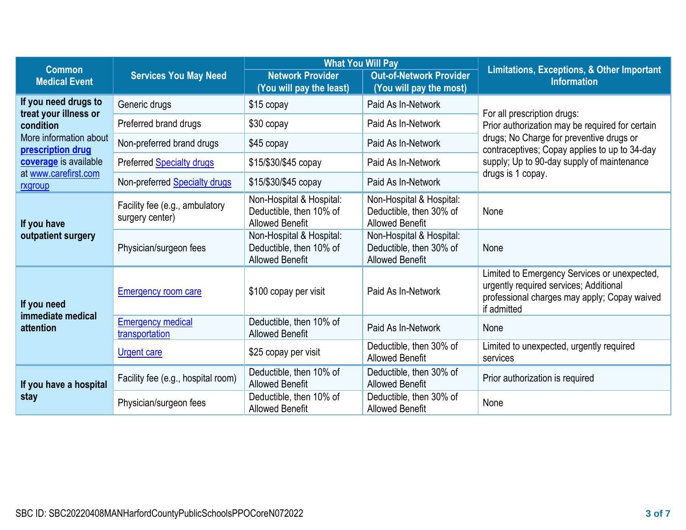|                                             |                                                   | <b>What You Will Pay</b>                                                      |                                                                               |                                                                                                                                                                             |  |
|---------------------------------------------|---------------------------------------------------|-------------------------------------------------------------------------------|-------------------------------------------------------------------------------|-----------------------------------------------------------------------------------------------------------------------------------------------------------------------------|--|
| <b>Common</b><br><b>Medical Event</b>       | <b>Services You May Need</b>                      | <b>Network Provider</b><br>(You will pay the least)                           | <b>Out-of-Network Provider</b><br>(You will pay the most)                     | Limitations, Exceptions, & Other Important<br><b>Information</b>                                                                                                            |  |
| If you need drugs to                        | Generic drugs                                     | $$15$ copay                                                                   | Paid As In-Network                                                            |                                                                                                                                                                             |  |
| treat your illness or<br>condition          | Preferred brand drugs                             | \$30 copay                                                                    | Paid As In-Network                                                            | For all prescription drugs:<br>Prior authorization may be required for certain<br>drugs; No Charge for preventive drugs or<br>contraceptives; Copay applies to up to 34-day |  |
| More information about<br>prescription drug | Non-preferred brand drugs                         | \$45 copay                                                                    | Paid As In-Network                                                            |                                                                                                                                                                             |  |
| coverage is available                       | Preferred Specialty drugs                         | \$15/\$30/\$45 copay                                                          | Paid As In-Network                                                            | supply; Up to 90-day supply of maintenance                                                                                                                                  |  |
| at www.carefirst.com<br>rxgroup             | Non-preferred <b>Specialty drugs</b>              | \$15/\$30/\$45 copay                                                          | Paid As In-Network                                                            | drugs is 1 copay.                                                                                                                                                           |  |
| If you have                                 | Facility fee (e.g., ambulatory<br>surgery center) | Non-Hospital & Hospital:<br>Deductible, then 10% of<br><b>Allowed Benefit</b> | Non-Hospital & Hospital:<br>Deductible, then 30% of<br><b>Allowed Benefit</b> | None                                                                                                                                                                        |  |
| outpatient surgery                          | Physician/surgeon fees                            | Non-Hospital & Hospital:<br>Deductible, then 10% of<br><b>Allowed Benefit</b> | Non-Hospital & Hospital:<br>Deductible, then 30% of<br><b>Allowed Benefit</b> | None                                                                                                                                                                        |  |
| If you need<br>immediate medical            | <b>Emergency room care</b>                        | \$100 copay per visit                                                         | Paid As In-Network                                                            | Limited to Emergency Services or unexpected,<br>urgently required services; Additional<br>professional charges may apply; Copay waived<br>if admitted                       |  |
| attention                                   | <b>Emergency medical</b><br>transportation        | Deductible, then 10% of<br><b>Allowed Benefit</b>                             | Paid As In-Network                                                            | None                                                                                                                                                                        |  |
|                                             | <b>Urgent care</b>                                | \$25 copay per visit                                                          | Deductible, then 30% of<br><b>Allowed Benefit</b>                             | Limited to unexpected, urgently required<br>services                                                                                                                        |  |
| If you have a hospital                      | Facility fee (e.g., hospital room)                | Deductible, then 10% of<br><b>Allowed Benefit</b>                             | Deductible, then 30% of<br><b>Allowed Benefit</b>                             | Prior authorization is required                                                                                                                                             |  |
| stay                                        | Physician/surgeon fees                            | Deductible, then 10% of<br><b>Allowed Benefit</b>                             | Deductible, then 30% of<br><b>Allowed Benefit</b>                             | None                                                                                                                                                                        |  |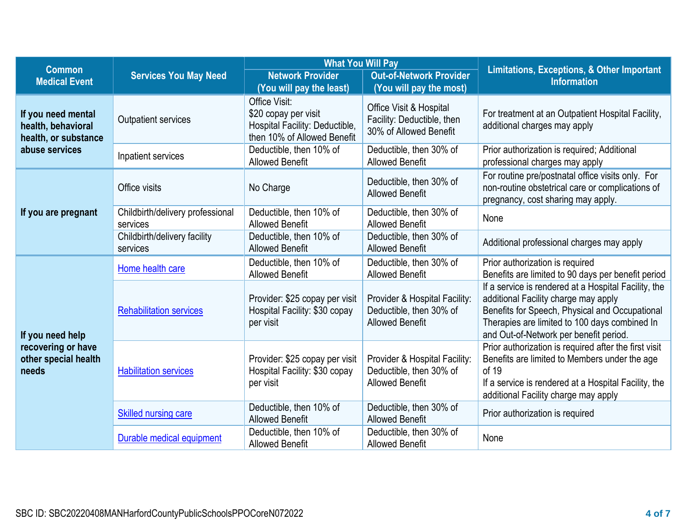| <b>Common</b>                                                    |                                              | <b>What You Will Pay</b>                                                                               |                                                                                    | <b>Limitations, Exceptions, &amp; Other Important</b>                                                                                                                                                                                     |  |
|------------------------------------------------------------------|----------------------------------------------|--------------------------------------------------------------------------------------------------------|------------------------------------------------------------------------------------|-------------------------------------------------------------------------------------------------------------------------------------------------------------------------------------------------------------------------------------------|--|
| <b>Medical Event</b>                                             | <b>Services You May Need</b>                 | <b>Network Provider</b><br>(You will pay the least)                                                    | <b>Out-of-Network Provider</b><br>(You will pay the most)                          | <b>Information</b>                                                                                                                                                                                                                        |  |
| If you need mental<br>health, behavioral<br>health, or substance | <b>Outpatient services</b>                   | Office Visit:<br>\$20 copay per visit<br>Hospital Facility: Deductible,<br>then 10% of Allowed Benefit | Office Visit & Hospital<br>Facility: Deductible, then<br>30% of Allowed Benefit    | For treatment at an Outpatient Hospital Facility,<br>additional charges may apply                                                                                                                                                         |  |
| abuse services                                                   | Inpatient services                           | Deductible, then 10% of<br><b>Allowed Benefit</b>                                                      | Deductible, then 30% of<br><b>Allowed Benefit</b>                                  | Prior authorization is required; Additional<br>professional charges may apply                                                                                                                                                             |  |
|                                                                  | Office visits                                | No Charge                                                                                              | Deductible, then 30% of<br><b>Allowed Benefit</b>                                  | For routine pre/postnatal office visits only. For<br>non-routine obstetrical care or complications of<br>pregnancy, cost sharing may apply.                                                                                               |  |
| If you are pregnant                                              | Childbirth/delivery professional<br>services | Deductible, then 10% of<br><b>Allowed Benefit</b>                                                      | Deductible, then 30% of<br><b>Allowed Benefit</b>                                  | None                                                                                                                                                                                                                                      |  |
|                                                                  | Childbirth/delivery facility<br>services     | Deductible, then 10% of<br><b>Allowed Benefit</b>                                                      | Deductible, then 30% of<br><b>Allowed Benefit</b>                                  | Additional professional charges may apply                                                                                                                                                                                                 |  |
|                                                                  | Home health care                             | Deductible, then 10% of<br><b>Allowed Benefit</b>                                                      | Deductible, then 30% of<br><b>Allowed Benefit</b>                                  | Prior authorization is required<br>Benefits are limited to 90 days per benefit period                                                                                                                                                     |  |
| If you need help                                                 | <b>Rehabilitation services</b>               | Provider: \$25 copay per visit<br>Hospital Facility: \$30 copay<br>per visit                           | Provider & Hospital Facility:<br>Deductible, then 30% of<br><b>Allowed Benefit</b> | If a service is rendered at a Hospital Facility, the<br>additional Facility charge may apply<br>Benefits for Speech, Physical and Occupational<br>Therapies are limited to 100 days combined In<br>and Out-of-Network per benefit period. |  |
| recovering or have<br>other special health<br>needs              | <b>Habilitation services</b>                 | Provider: \$25 copay per visit<br>Hospital Facility: \$30 copay<br>per visit                           | Provider & Hospital Facility:<br>Deductible, then 30% of<br><b>Allowed Benefit</b> | Prior authorization is required after the first visit<br>Benefits are limited to Members under the age<br>of 19<br>If a service is rendered at a Hospital Facility, the<br>additional Facility charge may apply                           |  |
|                                                                  | <b>Skilled nursing care</b>                  | Deductible, then 10% of<br><b>Allowed Benefit</b>                                                      | Deductible, then 30% of<br><b>Allowed Benefit</b>                                  | Prior authorization is required                                                                                                                                                                                                           |  |
|                                                                  | Durable medical equipment                    | Deductible, then 10% of<br><b>Allowed Benefit</b>                                                      | Deductible, then 30% of<br><b>Allowed Benefit</b>                                  | None                                                                                                                                                                                                                                      |  |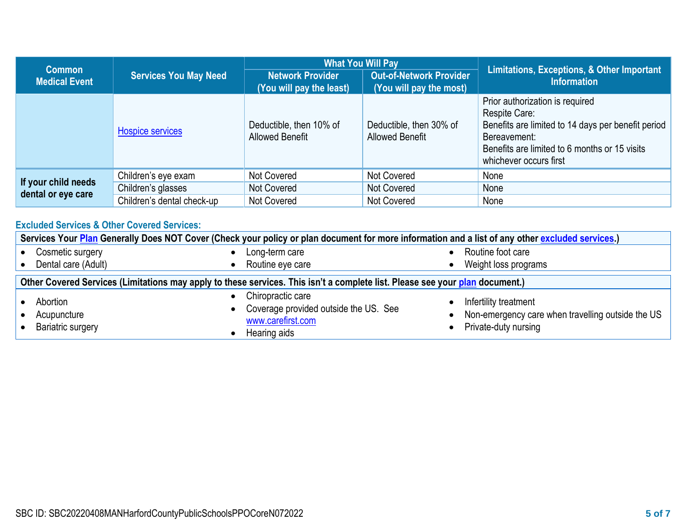|                                           |                              | <b>What You Will Pay</b>                            |                                                           |                                                                                                                                                                                                   |  |
|-------------------------------------------|------------------------------|-----------------------------------------------------|-----------------------------------------------------------|---------------------------------------------------------------------------------------------------------------------------------------------------------------------------------------------------|--|
| <b>Common</b><br><b>Medical Event</b>     | <b>Services You May Need</b> | <b>Network Provider</b><br>(You will pay the least) | <b>Out-of-Network Provider</b><br>(You will pay the most) | Limitations, Exceptions, & Other Important<br><b>Information</b>                                                                                                                                  |  |
|                                           | <b>Hospice services</b>      | Deductible, then 10% of<br><b>Allowed Benefit</b>   | Deductible, then 30% of<br><b>Allowed Benefit</b>         | Prior authorization is required<br>Respite Care:<br>Benefits are limited to 14 days per benefit period<br>Bereavement:<br>Benefits are limited to 6 months or 15 visits<br>whichever occurs first |  |
|                                           | Children's eye exam          | Not Covered                                         | Not Covered                                               | None                                                                                                                                                                                              |  |
| If your child needs<br>dental or eye care | Children's glasses           | Not Covered                                         | Not Covered                                               | None                                                                                                                                                                                              |  |
|                                           | Children's dental check-up   | Not Covered                                         | Not Covered                                               | None                                                                                                                                                                                              |  |

# **Excluded Services & Other Covered Services:**

| Services Your Plan Generally Does NOT Cover (Check your policy or plan document for more information and a list of any other excluded services.) |                                                                                                 |                        |                                                                                                    |
|--------------------------------------------------------------------------------------------------------------------------------------------------|-------------------------------------------------------------------------------------------------|------------------------|----------------------------------------------------------------------------------------------------|
| Cosmetic surgery                                                                                                                                 | Long-term care                                                                                  |                        | Routine foot care                                                                                  |
| Dental care (Adult)                                                                                                                              | Routine eye care                                                                                |                        | Weight loss programs                                                                               |
| Other Covered Services (Limitations may apply to these services. This isn't a complete list. Please see your plan document.)                     |                                                                                                 |                        |                                                                                                    |
| Abortion<br>Acupuncture<br><b>Bariatric surgery</b>                                                                                              | Chiropractic care<br>Coverage provided outside the US. See<br>www.carefirst.com<br>Hearing aids | $\bullet$<br>$\bullet$ | Infertility treatment<br>Non-emergency care when travelling outside the US<br>Private-duty nursing |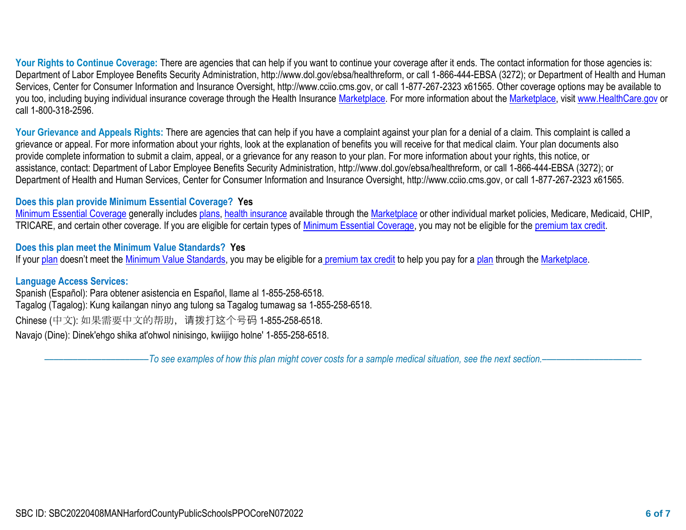Your Rights to Continue Coverage: There are agencies that can help if you want to continue your coverage after it ends. The contact information for those agencies is: Department of Labor Employee Benefits Security Administration, http://www.dol.gov/ebsa/healthreform, or call 1-866-444-EBSA (3272); or Department of Health and Human Services, Center for Consumer Information and Insurance Oversight, http://www.cciio.cms.gov, or call 1-877-267-2323 x61565. Other coverage options may be available to you too, including buying individual insurance coverage through the Health Insurance Marketplace. For more information about the Marketplace, visit [www.HealthCare.gov](http://www.healthcare.gov/) or call 1-800-318-2596.

Your Grievance and Appeals Rights: There are agencies that can help if you have a complaint against your plan for a denial of a claim. This complaint is called a grievance or appeal. For more information about your rights, look at the explanation of benefits you will receive for that medical claim. Your plan documents also provide complete information to submit a claim, appeal, or a grievance for any reason to your plan. For more information about your rights, this notice, or assistance, contact: Department of Labor Employee Benefits Security Administration, http://www.dol.gov/ebsa/healthreform, or call 1-866-444-EBSA (3272); or Department of Health and Human Services, Center for Consumer Information and Insurance Oversight, http://www.cciio.cms.gov, or call 1-877-267-2323 x61565.

## **Does this plan provide Minimum Essential Coverage? Yes**

Minimum Essential Coverage generally includes plans, health insurance available through the Marketplace or other individual market policies, Medicare, Medicaid, CHIP, TRICARE, and certain other coverage. If you are eligible for certain types of Minimum Essential Coverage, you may not be eligible for the premium tax credit.

**Does this plan meet the Minimum Value Standards? Yes**

If your plan doesn't meet the Minimum Value Standards, you may be eligible for a premium tax credit to help you pay for a plan through the Marketplace.

## **Language Access Services:**

Spanish (Español): Para obtener asistencia en Español, llame al 1-855-258-6518. Tagalog (Tagalog): Kung kailangan ninyo ang tulong sa Tagalog tumawag sa 1-855-258-6518. Chinese (中文): 如果需要中文的帮助,请拨打这个号码 1-855-258-6518. Navajo (Dine): Dinek'ehgo shika at'ohwol ninisingo, kwiijigo holne' 1-855-258-6518.

––––––––––––––––––––––*To see examples of how this plan might cover costs for a sample medical situation, see the next section.–––––––––––*––––––––––